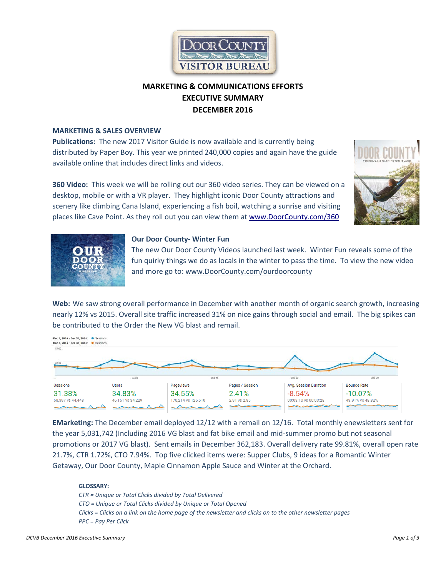

# **MARKETING & COMMUNICATIONS EFFORTS EXECUTIVE SUMMARY DECEMBER 2016**

#### **MARKETING & SALES OVERVIEW**

**Publications:** The new 2017 Visitor Guide is now available and is currently being distributed by Paper Boy. This year we printed 240,000 copies and again have the guide available online that includes direct links and videos.

**360 Video:** This week we will be rolling out our 360 video series. They can be viewed on a desktop, mobile or with a VR player. They highlight iconic Door County attractions and scenery like climbing Cana Island, experiencing a fish boil, watching a sunrise and visiting places like Cave Point. As they roll out you can view them at [www.DoorCounty.com/360](http://www.doorcounty.com/360)





#### **Our Door County- Winter Fun**

The new Our Door County Videos launched last week. Winter Fun reveals some of the fun quirky things we do as locals in the winter to pass the time. To view the new video and more go to[: www.DoorCounty.com/ourdoorcounty](http://www.doorcounty.com/ourdoorcounty)

Web: We saw strong overall performance in December with another month of organic search growth, increasing nearly 12% vs 2015. Overall site traffic increased 31% on nice gains through social and email. The big spikes can be contributed to the Order the New VG blast and remail.



**EMarketing:** The December email deployed 12/12 with a remail on 12/16. Total monthly enewsletters sent for the year 5,031,742 (Including 2016 VG blast and fat bike email and mid-summer promo but not seasonal promotions or 2017 VG blast). Sent emails in December 362,183. Overall delivery rate 99.81%, overall open rate 21.7%, CTR 1.72%, CTO 7.94%. Top five clicked items were: Supper Clubs, 9 ideas for a Romantic Winter Getaway, Our Door County, Maple Cinnamon Apple Sauce and Winter at the Orchard.

#### **GLOSSARY:**

*CTR = Unique or Total Clicks divided by Total Delivered CTO = Unique or Total Clicks divided by Unique or Total Opened Clicks = Clicks on a link on the home page of the newsletter and clicks on to the other newsletter pages PPC = Pay Per Click*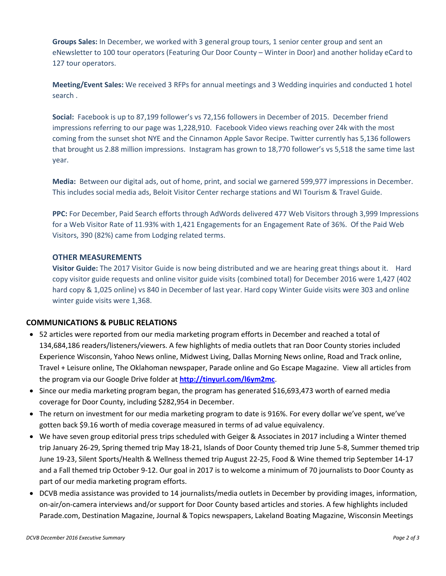**Groups Sales:** In December, we worked with 3 general group tours, 1 senior center group and sent an eNewsletter to 100 tour operators (Featuring Our Door County – Winter in Door) and another holiday eCard to 127 tour operators.

**Meeting/Event Sales:** We received 3 RFPs for annual meetings and 3 Wedding inquiries and conducted 1 hotel search .

**Social:** Facebook is up to 87,199 follower's vs 72,156 followers in December of 2015. December friend impressions referring to our page was 1,228,910. Facebook Video views reaching over 24k with the most coming from the sunset shot NYE and the Cinnamon Apple Savor Recipe. Twitter currently has 5,136 followers that brought us 2.88 million impressions. Instagram has grown to 18,770 follower's vs 5,518 the same time last year.

**Media:** Between our digital ads, out of home, print, and social we garnered 599,977 impressions in December. This includes social media ads, Beloit Visitor Center recharge stations and WI Tourism & Travel Guide.

**PPC:** For December, Paid Search efforts through AdWords delivered 477 Web Visitors through 3,999 Impressions for a Web Visitor Rate of 11.93% with 1,421 Engagements for an Engagement Rate of 36%. Of the Paid Web Visitors, 390 (82%) came from Lodging related terms.

### **OTHER MEASUREMENTS**

**Visitor Guide:** The 2017 Visitor Guide is now being distributed and we are hearing great things about it. Hard copy visitor guide requests and online visitor guide visits (combined total) for December 2016 were 1,427 (402 hard copy & 1,025 online) vs 840 in December of last year. Hard copy Winter Guide visits were 303 and online winter guide visits were 1,368.

# **COMMUNICATIONS & PUBLIC RELATIONS**

- 52 articles were reported from our media marketing program efforts in December and reached a total of 134,684,186 readers/listeners/viewers. A few highlights of media outlets that ran Door County stories included Experience Wisconsin, Yahoo News online, Midwest Living, Dallas Morning News online, Road and Track online, Travel + Leisure online, The Oklahoman newspaper, Parade online and Go Escape Magazine. View all articles from the program via our Google Drive folder at **<http://tinyurl.com/l6ym2mc>**.
- Since our media marketing program began, the program has generated \$16,693,473 worth of earned media coverage for Door County, including \$282,954 in December.
- The return on investment for our media marketing program to date is 916%. For every dollar we've spent, we've gotten back \$9.16 worth of media coverage measured in terms of ad value equivalency.
- We have seven group editorial press trips scheduled with Geiger & Associates in 2017 including a Winter themed trip January 26-29, Spring themed trip May 18-21, Islands of Door County themed trip June 5-8, Summer themed trip June 19-23, Silent Sports/Health & Wellness themed trip August 22-25, Food & Wine themed trip September 14-17 and a Fall themed trip October 9-12. Our goal in 2017 is to welcome a minimum of 70 journalists to Door County as part of our media marketing program efforts.
- DCVB media assistance was provided to 14 journalists/media outlets in December by providing images, information, on-air/on-camera interviews and/or support for Door County based articles and stories. A few highlights included Parade.com, Destination Magazine, Journal & Topics newspapers, Lakeland Boating Magazine, Wisconsin Meetings